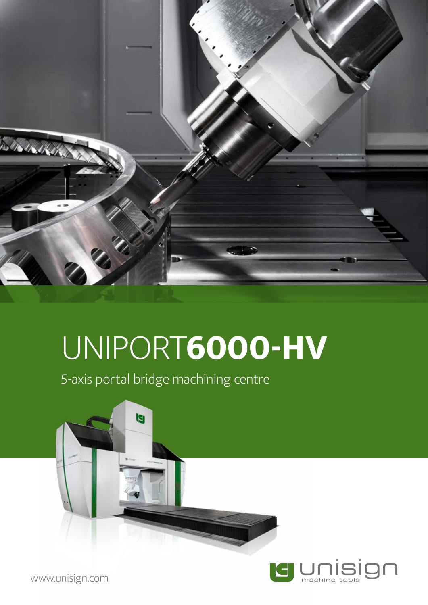

# UNIPORT**6000-HV**

5-axis portal bridge machining centre





www.unisign.com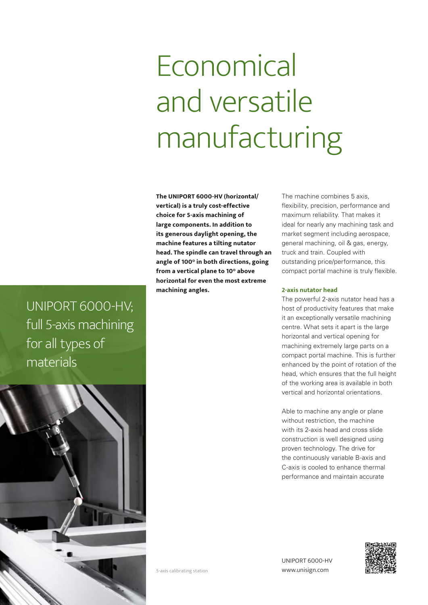# **Economical** and versatile manufacturing

**The UNIPORT 6000-HV (horizontal/ vertical) is a truly cost-effective choice for 5-axis machining of large components. In addition to its generous daylight opening, the machine features a tilting nutator head. The spindle can travel through an angle of 100° in both directions, going from a vertical plane to 10° above horizontal for even the most extreme machining angles.** 

The machine combines 5 axis, flexibility, precision, performance and maximum reliability. That makes it ideal for nearly any machining task and market segment including aerospace, general machining, oil & gas, energy, truck and train. Coupled with outstanding price/performance, this compact portal machine is truly flexible.

#### **2-axis nutator head**

The powerful 2-axis nutator head has a host of productivity features that make it an exceptionally versatile machining centre. What sets it apart is the large horizontal and vertical opening for machining extremely large parts on a compact portal machine. This is further enhanced by the point of rotation of the head, which ensures that the full height of the working area is available in both vertical and horizontal orientations.

Able to machine any angle or plane without restriction, the machine with its 2-axis head and cross slide construction is well designed using proven technology. The drive for the continuously variable B-axis and C-axis is cooled to enhance thermal performance and maintain accurate

UNIPORT 6000-HV; full 5-axis machining for all types of materials



UNIPORT 6000-HV 5-axis calibrating station www.unisign.com

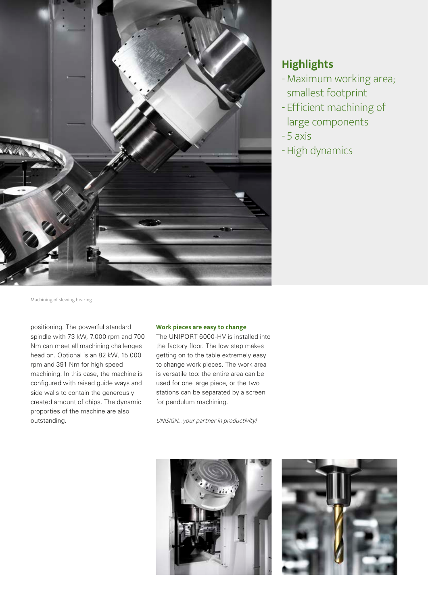

### **Highlights**

- Maximum working area; smallest footprint
- Efficient machining of large components
- 5 axis
- High dynamics

Machining of slewing bearing

positioning. The powerful standard spindle with 73 kW, 7.000 rpm and 700 Nm can meet all machining challenges head on. Optional is an 82 kW, 15.000 rpm and 391 Nm for high speed machining. In this case, the machine is configured with raised guide ways and side walls to contain the generously created amount of chips. The dynamic proporties of the machine are also outstanding.

#### **Work pieces are easy to change**

The UNIPORT 6000-HV is installed into the factory floor. The low step makes getting on to the table extremely easy to change work pieces. The work area is versatile too: the entire area can be used for one large piece, or the two stations can be separated by a screen for pendulum machining.

UNISIGN... your partner in productivity!



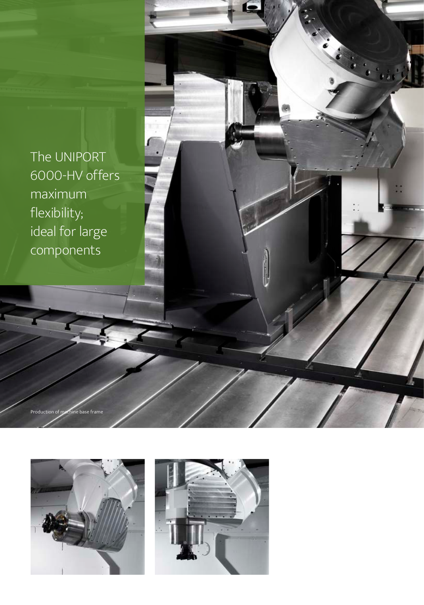The UNIPORT 6000-HV offers maximum flexibility; ideal for large components



Production of machine base frame

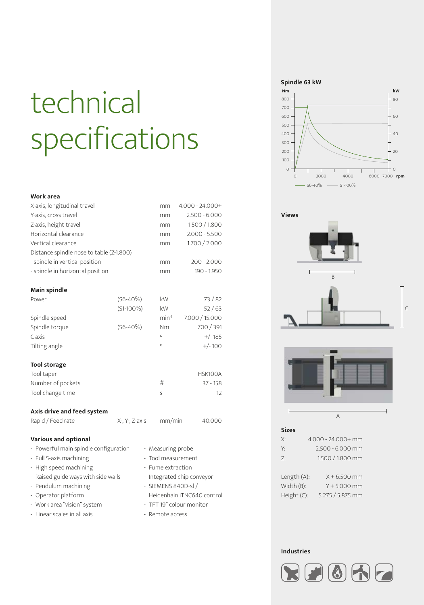# technical specifications

#### **Work area**

| X-axis, longitudinal travel              |                | mm                       | $4.000 - 24.000 +$ |
|------------------------------------------|----------------|--------------------------|--------------------|
| Y-axis, cross travel                     |                | mm                       | $2.500 - 6.000$    |
| Z-axis, height travel                    |                | mm                       | 1.500 / 1.800      |
| Horizontal clearance                     |                | mm                       | $2.000 - 5.500$    |
| Vertical clearance                       |                | mm                       | 1.700 / 2.000      |
| Distance spindle nose to table (Z-1.800) |                |                          |                    |
| - spindle in vertical position           |                | mm                       | $200 - 2.000$      |
| - spindle in horizontal position         |                | mm                       | 190 - 1.950        |
|                                          |                |                          |                    |
| <b>Main spindle</b>                      |                |                          |                    |
| Power                                    | $(S6 - 40\%)$  | kW                       | 73/82              |
|                                          | $(S1-100\%)$   | kW                       | 52/63              |
| Spindle speed                            |                | $min-1$                  | 7.000 / 15.000     |
| Spindle torque                           | $(S6 - 40\%)$  | Nm                       | 700 / 391          |
| C-axis                                   |                | $\circ$                  | $+/- 185$          |
| Tilting angle                            |                | $\circ$                  | $+/-100$           |
|                                          |                |                          |                    |
| <b>Tool storage</b>                      |                |                          |                    |
| Tool taper                               |                | $\overline{\phantom{m}}$ | HSK100A            |
| Number of pockets                        |                | #                        | $37 - 158$         |
| Tool change time                         |                | S                        | 12                 |
|                                          |                |                          |                    |
| Axis drive and feed system               |                |                          |                    |
| Rapid / Feed rate                        | X-, Y-, Z-axis | mm/min                   | 40.000             |
|                                          |                |                          |                    |

#### **Various and optional**

| - Powerful main spindle configuration | - Measuring probe          |
|---------------------------------------|----------------------------|
| - Full 5-axis machining               | - Tool measurement         |
| - High speed machining                | - Fume extraction          |
| - Raised guide ways with side walls   | - Integrated chip conveyor |
| - Pendulum machining                  | - SIEMENS 840D-sl /        |
| - Operator platform                   | Heidenhain iTNC640 control |
| - Work area "vision" system           | - TFT 19" colour monitor   |
| - Linear scales in all axis           | - Remote access            |
|                                       |                            |

#### **Spindle 63 kW**









#### **Sizes**

| Х:          | 4.000 - 24.000+ mm |
|-------------|--------------------|
| γ.          | 2.500 - 6.000 mm   |
| 7:          | 1.500 / 1.800 mm   |
| Length (A): | $X + 6.500$ mm     |

Width (B): Y + 5.000 mm Height (C): 5.275 / 5.875 mm

#### **Industries**